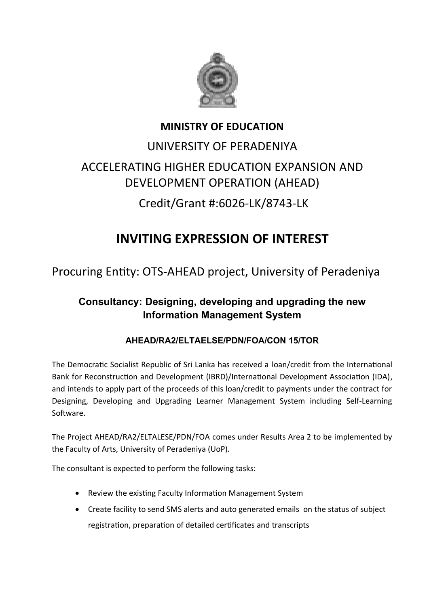

### **MINISTRY OF EDUCATION**

## UNIVERSITY OF PERADENIYA ACCELERATING HIGHER EDUCATION EXPANSION AND DEVELOPMENT OPERATION (AHEAD)

# Credit/Grant #:6026-LK/8743-LK

## **INVITING EXPRESSION OF INTEREST**

Procuring Entity: OTS-AHEAD project, University of Peradeniya

### **Consultancy: Designing, developing and upgrading the new Information Management System**

### **AHEAD/RA2/ELTAELSE/PDN/FOA/CON 15/TOR**

The Democratic Socialist Republic of Sri Lanka has received a loan/credit from the International Bank for Reconstruction and Development (IBRD)/International Development Association (IDA), and intends to apply part of the proceeds of this loan/credit to payments under the contract for Designing, Developing and Upgrading Learner Management System including Self-Learning Software.

The Project AHEAD/RA2/ELTALESE/PDN/FOA comes under Results Area 2 to be implemented by the Faculty of Arts, University of Peradeniya (UoP).

The consultant is expected to perform the following tasks:

- Review the existing Faculty Information Management System
- Create facility to send SMS alerts and auto generated emails on the status of subject registration, preparation of detailed certificates and transcripts